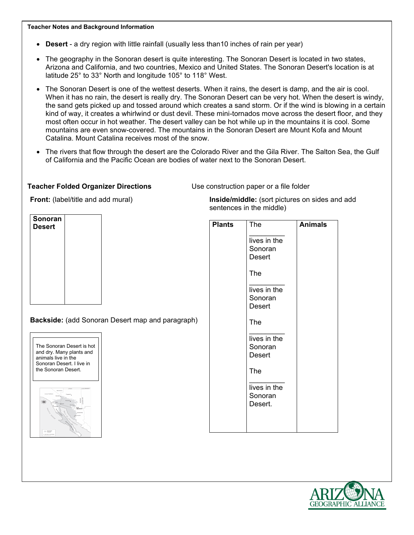#### **Teacher Notes and Background Information**

- **Desert** a dry region with little rainfall (usually less than10 inches of rain per year)
- The geography in the Sonoran desert is quite interesting. The Sonoran Desert is located in two states, Arizona and California, and two countries, Mexico and United States. The Sonoran Desert's location is at latitude 25° to 33° North and longitude 105° to 118° West.
- The Sonoran Desert is one of the wettest deserts. When it rains, the desert is damp, and the air is cool. When it has no rain, the desert is really dry. The Sonoran Desert can be very hot. When the desert is windy, the sand gets picked up and tossed around which creates a sand storm. Or if the wind is blowing in a certain kind of way, it creates a whirlwind or dust devil. These mini-tornados move across the desert floor, and they most often occur in hot weather. The desert valley can be hot while up in the mountains it is cool. Some mountains are even snow-covered. The mountains in the Sonoran Desert are Mount Kofa and Mount Catalina. Mount Catalina receives most of the snow.
- The rivers that flow through the desert are the Colorado River and the Gila River. The Salton Sea, the Gulf of California and the Pacific Ocean are bodies of water next to the Sonoran Desert.

#### **Teacher Folded Organizer Directions** Use construction paper or a file folder

sentences in the middle)

**Front:** (label/title and add mural)



**Backside:** (add Sonoran Desert map and paragraph)





| <b>Plants</b> | <b>The</b>                               | <b>Animals</b> |
|---------------|------------------------------------------|----------------|
|               | lives in the<br>Sonoran<br><b>Desert</b> |                |
|               | The                                      |                |
|               | lives in the<br>Sonoran<br><b>Desert</b> |                |
|               | The                                      |                |
|               | lives in the<br>Sonoran<br><b>Desert</b> |                |
|               | The                                      |                |
|               | lives in the<br>Sonoran<br>Desert.       |                |
|               |                                          |                |

**Inside/middle:** (sort pictures on sides and add

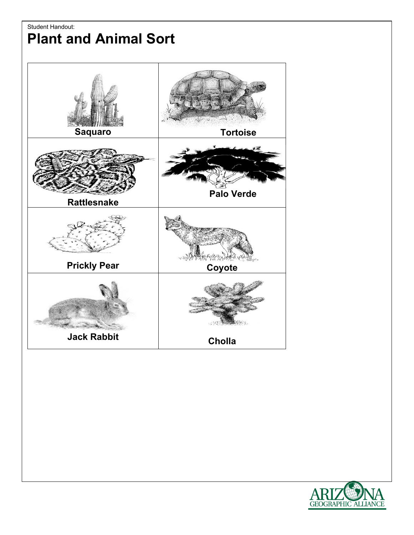## Student Handout: **Plant and Animal Sort**



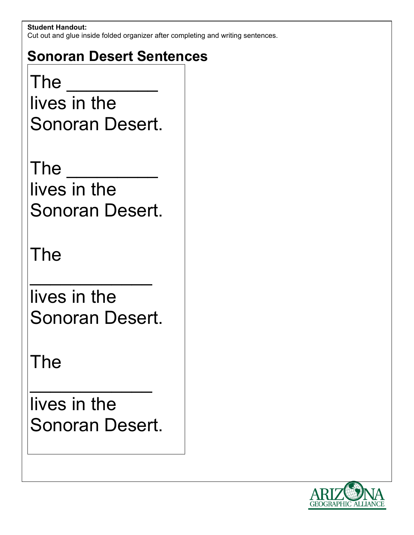### **Student Handout:**

Cut out and glue inside folded organizer after completing and writing sentences.

# **Sonoran Desert Sentences**

 $\mathsf{The}$ 

lives in the Sonoran Desert.

The  $\qquad \qquad \_$ lives in the Sonoran Desert.

The

lives in the Sonoran Desert.

 $\mathcal{L}_\text{max}$  and  $\mathcal{L}_\text{max}$  and  $\mathcal{L}_\text{max}$ 

The

lives in the Sonoran Desert.

 $\mathcal{L}_\text{max}$  and  $\mathcal{L}_\text{max}$  and  $\mathcal{L}_\text{max}$ 

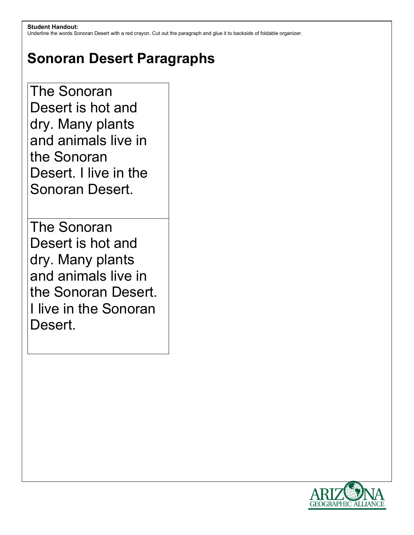Underline the words Sonoran Desert with a red crayon. Cut out the paragraph and glue it to backside of foldable organizer.

# **Sonoran Desert Paragraphs**

The Sonoran Desert is hot and dry. Many plants and animals live in the Sonoran Desert. I live in the Sonoran Desert.

The Sonoran Desert is hot and dry. Many plants and animals live in the Sonoran Desert. I live in the Sonoran Desert.